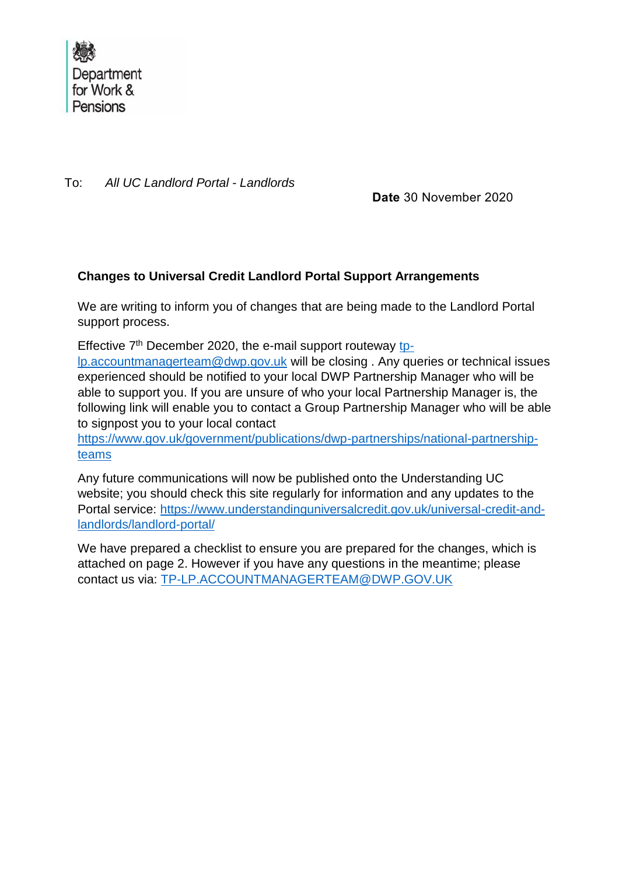

To: *All UC Landlord Portal - Landlords* 

**Date** 30 November 2020

## **Changes to Universal Credit Landlord Portal Support Arrangements**

We are writing to inform you of changes that are being made to the Landlord Portal support process.

Effective  $7<sup>th</sup>$  December 2020, the e-mail support routeway [tp-](mailto:tp-lp.accountmanagerteam@dwp.gov.uk)

[lp.accountmanagerteam@dwp.gov.uk](mailto:tp-lp.accountmanagerteam@dwp.gov.uk) will be closing . Any queries or technical issues experienced should be notified to your local DWP Partnership Manager who will be able to support you. If you are unsure of who your local Partnership Manager is, the following link will enable you to contact a Group Partnership Manager who will be able to signpost you to your local contact

[https://www.gov.uk/government/publications/dwp-partnerships/national-partnership](https://www.gov.uk/government/publications/dwp-partnerships/national-partnership-teams)[teams](https://www.gov.uk/government/publications/dwp-partnerships/national-partnership-teams)

Any future communications will now be published onto the Understanding UC website; you should check this site regularly for information and any updates to the Portal service: [https://www.understandinguniversalcredit.gov.uk/universal-credit-and](https://www.understandinguniversalcredit.gov.uk/universal-credit-and-landlords/landlord-portal/)[landlords/landlord-portal/](https://www.understandinguniversalcredit.gov.uk/universal-credit-and-landlords/landlord-portal/)

We have prepared a checklist to ensure you are prepared for the changes, which is attached on page 2. However if you have any questions in the meantime; please contact us via: [TP-LP.ACCOUNTMANAGERTEAM@DWP.GOV.UK](mailto:TP-LP.ACCOUNTMANAGERTEAM@DWP.GOV.UK)